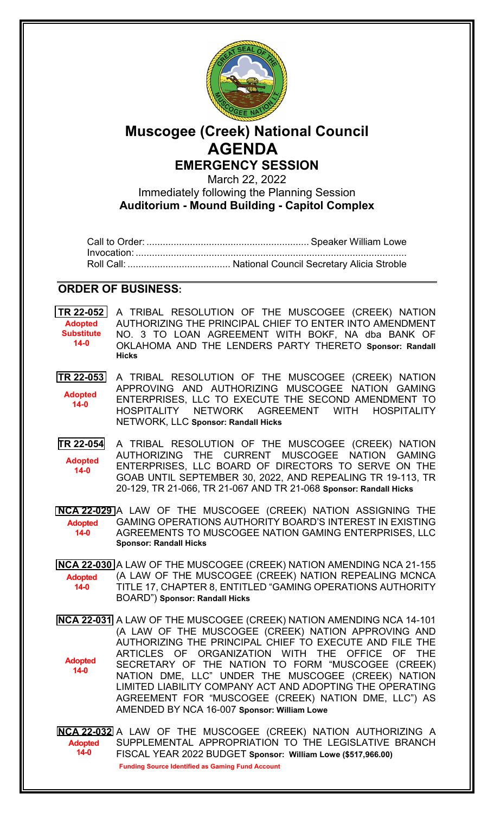

## **Muscogee (Creek) National Council AGENDA EMERGENCY SESSION**

March 22, 2022

Immediately following the Planning Session **Auditorium - Mound Building - Capitol Complex**

Call to Order: ............................................................ Speaker William Lowe Invocation: .................................................................................................... Roll Call: ...................................... National Council Secretary Alicia Stroble

## **ORDER OF BUSINESS:**

**[TR 22-052](bills/22-052.pdf)** A TRIBAL RESOLUTION OF THE MUSCOGEE (CREEK) NATION AUTHORIZING THE PRINCIPAL CHIEF TO ENTER INTO AMENDMENT NO. 3 TO LOAN AGREEMENT WITH BOKF, NA dba BANK OF OKLAHOMA AND THE LENDERS PARTY THERETO **Sponsor: Randall Hicks Adopted Substitute 14-0**

**[TR 22-053](bills/22-053.pdf)** A TRIBAL RESOLUTION OF THE MUSCOGEE (CREEK) NATION APPROVING AND AUTHORIZING MUSCOGEE NATION GAMING ENTERPRISES, LLC TO EXECUTE THE SECOND AMENDMENT TO HOSPITALITY NETWORK AGREEMENT WITH HOSPITALITY NETWORK, LLC **Sponsor: Randall Hicks Adopted 14-0**

**[TR 22-054](bills/22-054.pdf)** A TRIBAL RESOLUTION OF THE MUSCOGEE (CREEK) NATION AUTHORIZING THE CURRENT MUSCOGEE NATION GAMING ENTERPRISES, LLC BOARD OF DIRECTORS TO SERVE ON THE GOAB UNTIL SEPTEMBER 30, 2022, AND REPEALING TR 19-113, TR 20-129, TR 21-066, TR 21-067 AND TR 21-068 **Sponsor: Randall Hicks Adopted 14-0**

**[NCA 22-029](bills/NCA22-029.pdf)** A LAW OF THE MUSCOGEE (CREEK) NATION ASSIGNING THE GAMING OPERATIONS AUTHORITY BOARD'S INTEREST IN EXISTING AGREEMENTS TO MUSCOGEE NATION GAMING ENTERPRISES, LLC **Sponsor: Randall Hicks Adopted 14-0**

**[NCA 22-030](bills/NCA22-030.pdf)** A LAW OF THE MUSCOGEE (CREEK) NATION AMENDING NCA 21-155 (A LAW OF THE MUSCOGEE (CREEK) NATION REPEALING MCNCA TITLE 17, CHAPTER 8, ENTITLED "GAMING OPERATIONS AUTHORITY BOARD") **Sponsor: Randall Hicks Adopted 14-0**

**[NCA 22-031](bills/NCA22-031.pdf)** A LAW OF THE MUSCOGEE (CREEK) NATION AMENDING NCA 14-101 (A LAW OF THE MUSCOGEE (CREEK) NATION APPROVING AND AUTHORIZING THE PRINCIPAL CHIEF TO EXECUTE AND FILE THE ARTICLES OF ORGANIZATION WITH THE OFFICE OF THE SECRETARY OF THE NATION TO FORM "MUSCOGEE (CREEK) NATION DME, LLC" UNDER THE MUSCOGEE (CREEK) NATION LIMITED LIABILITY COMPANY ACT AND ADOPTING THE OPERATING AGREEMENT FOR "MUSCOGEE (CREEK) NATION DME, LLC") AS AMENDED BY NCA 16-007 **Sponsor: William Lowe Adopted 14-0**

**[NCA 22-032](bills/NCA22-032.pdf)** A LAW OF THE MUSCOGEE (CREEK) NATION AUTHORIZING A SUPPLEMENTAL APPROPRIATION TO THE LEGISLATIVE BRANCH FISCAL YEAR 2022 BUDGET **Sponsor: William Lowe (\$517,966.00) Adopted 14-0 Funding Source Identified as Gaming Fund Account**